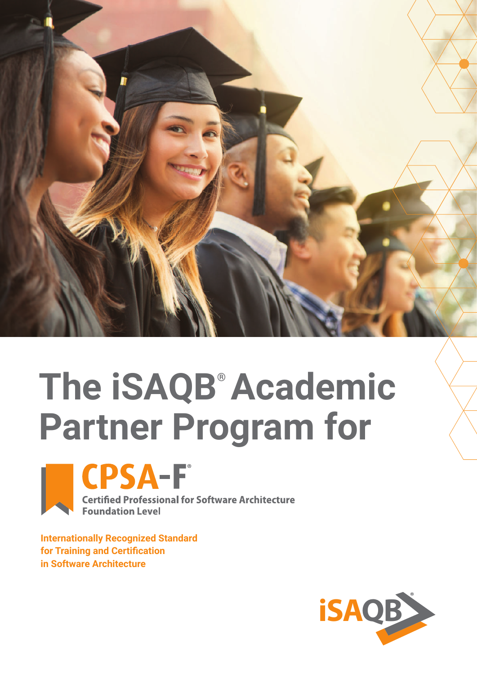

# **The iSAQB® Academic Partner Program for**





**Certified Professional for Software Architecture Foundation Level** 

**Internationally Recognized Standard for Training and Certification in Software Architecture** 

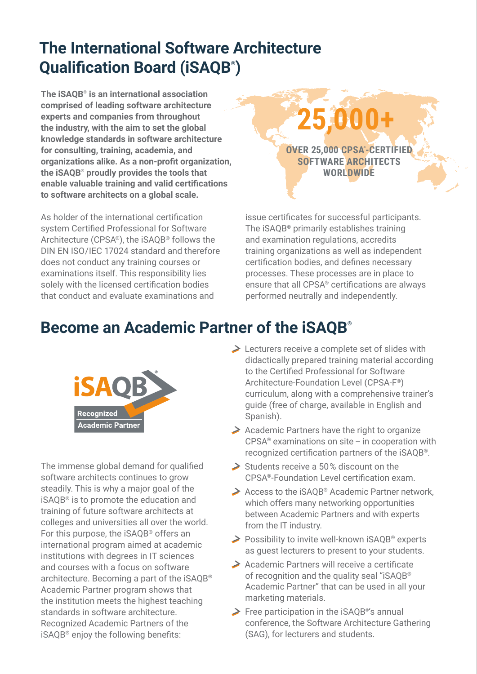# **The International Software Architecture Qualification Board (iSAQB® )**

**The iSAQB® is an international association comprised of leading software architecture experts and companies from throughout the industry, with the aim to set the global knowledge standards in software architecture for consulting, training, academia, and organizations alike. As a non-profit organization, the iSAQB® proudly provides the tools that enable valuable training and valid certifications to software architects on a global scale.**

As holder of the international certification system Certified Professional for Software Architecture (CPSA®), the iSAQB® follows the DIN EN ISO/IEC 17024 standard and therefore does not conduct any training courses or examinations itself. This responsibility lies solely with the licensed certification bodies that conduct and evaluate examinations and



issue certificates for successful participants. The iSAQB® primarily establishes training and examination regulations, accredits training organizations as well as independent certification bodies, and defines necessary processes. These processes are in place to ensure that all CPSA® certifications are always performed neutrally and independently.

# **Become an Academic Partner of the iSAQB®**



The immense global demand for qualified software architects continues to grow steadily. This is why a major goal of the iSAQB® is to promote the education and training of future software architects at colleges and universities all over the world. For this purpose, the iSAQB® offers an international program aimed at academic institutions with degrees in IT sciences and courses with a focus on software architecture. Becoming a part of the iSAQB® Academic Partner program shows that the institution meets the highest teaching standards in software architecture. Recognized Academic Partners of the iSAQB® enjoy the following benefits:

- **Execturers receive a complete set of slides with** didactically prepared training material according to the Certified Professional for Software Architecture-Foundation Level (CPSA-F®) curriculum, along with a comprehensive trainer's guide (free of charge, available in English and Spanish).
- $\geq$  Academic Partners have the right to organize  $CPSA<sup>®</sup>$  examinations on site – in cooperation with recognized certification partners of the iSAQB®.
- $\geq$  Students receive a 50% discount on the CPSA®-Foundation Level certification exam.
- $\geq$  Access to the iSAOB® Academic Partner network, which offers many networking opportunities between Academic Partners and with experts from the IT industry.
- **→ Possibility to invite well-known iSAOB® experts** as guest lecturers to present to your students.
- Academic Partners will receive a certificate of recognition and the quality seal "iSAQB® Academic Partner" that can be used in all your marketing materials.
- Free participation in the iSAQB® 's annual conference, the Software Architecture Gathering (SAG), for lecturers and students.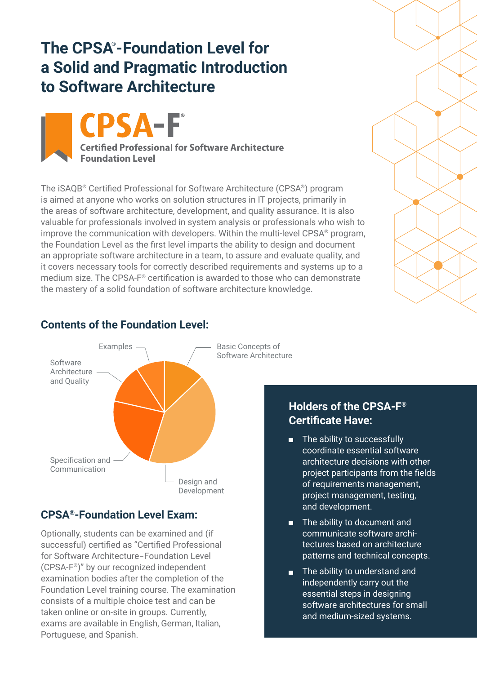### **The CPSA® -Foundation Level for a Solid and Pragmatic Introduction to Software Architecture**

SA-F **Certified Professional for Software Architecture Foundation Level** 

The iSAQB® Certified Professional for Software Architecture (CPSA®) program is aimed at anyone who works on solution structures in IT projects, primarily in the areas of software architecture, development, and quality assurance. It is also valuable for professionals involved in system analysis or professionals who wish to improve the communication with developers. Within the multi-level CPSA® program, the Foundation Level as the first level imparts the ability to design and document an appropriate software architecture in a team, to assure and evaluate quality, and it covers necessary tools for correctly described requirements and systems up to a medium size. The CPSA-F® certification is awarded to those who can demonstrate the mastery of a solid foundation of software architecture knowledge.



### **Contents of the Foundation Level:**

### **CPSA®-Foundation Level Exam:**

Optionally, students can be examined and (if successful) certified as "Certified Professional for Software Architecture-Foundation Level (CPSA-F®)" by our recognized independent examination bodies after the completion of the Foundation Level training course. The examination consists of a multiple choice test and can be taken online or on-site in groups. Currently, exams are available in English, German, Italian, Portuguese, and Spanish.



#### **Holders of the CPSA-F® Certificate Have:**

- The ability to successfully co ordinate essential software architecture decisions with other project participants from the fields of requirements management, project management, testing, and development.
- The ability to document and communicate software architectures based on architecture patterns and technical concepts.
- The ability to understand and independently carry out the essential steps in designing software architectures for small and medium-sized systems.